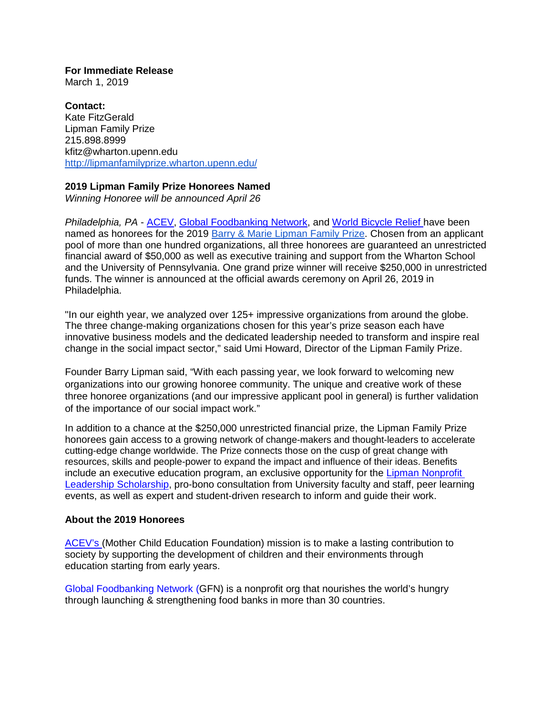**For Immediate Release** March 1, 2019

**Contact:** Kate FitzGerald Lipman Family Prize 215.898.8999 [kfitz@wharton.upenn.edu](mailto:kfitz@wharton.upenn.edu) <http://lipmanfamilyprize.wharton.upenn.edu/>

## **2019 Lipman Family Prize Honorees Named**

*Winning Honoree will be announced April 26*

*Philadelphia, PA* - [ACEV,](https://lipmanfamilyprize.wharton.upenn.edu/acev/) [Global Foodbanking Network,](https://lipmanfamilyprize.wharton.upenn.edu/global-foodbanking-network/) and [World Bicycle Relief](https://lipmanfamilyprize.wharton.upenn.edu/world-bicycle-relief/) have been named as honorees for the 2019 [Barry & Marie Lipman Family Prize.](http://lipmanfamilyprize.wharton.upenn.edu/) Chosen from an applicant pool of more than one hundred organizations, all three honorees are guaranteed an unrestricted financial award of \$50,000 as well as executive training and support from the Wharton School and the University of Pennsylvania. One grand prize winner will receive \$250,000 in unrestricted funds. The winner is announced at the official awards ceremony on April 26, 2019 in Philadelphia.

"In our eighth year, we analyzed over 125+ impressive organizations from around the globe. The three change-making organizations chosen for this year's prize season each have innovative business models and the dedicated leadership needed to transform and inspire real change in the social impact sector," said Umi Howard, Director of the Lipman Family Prize.

Founder Barry Lipman said, "With each passing year, we look forward to welcoming new organizations into our growing honoree community. The unique and creative work of these three honoree organizations (and our impressive applicant pool in general) is further validation of the importance of our social impact work."

In addition to a chance at the \$250,000 unrestricted financial prize, the Lipman Family Prize honorees gain access to a growing network of change-makers and thought-leaders to accelerate cutting-edge change worldwide. The Prize connects those on the cusp of great change with resources, skills and people-power to expand the impact and influence of their ideas. Benefits include an executive education program, an exclusive opportunity for the [Lipman Nonprofit](https://lipmanfamilyprize.wharton.upenn.edu/new-nonprofit-leadership-scholarship/)  [Leadership Scholarship,](https://lipmanfamilyprize.wharton.upenn.edu/new-nonprofit-leadership-scholarship/) pro-bono consultation from University faculty and staff, peer learning events, as well as expert and student-driven research to inform and guide their work.

## **About the 2019 Honorees**

[ACEV's](https://www.en.acev.org/) (Mother Child Education Foundation) mission is to make a lasting contribution to society by supporting the development of children and their environments through education starting from early years.

[Global Foodbanking Network](https://www.foodbanking.org/) (GFN) is a nonprofit org that nourishes the world's hungry through launching & strengthening food banks in more than 30 countries.